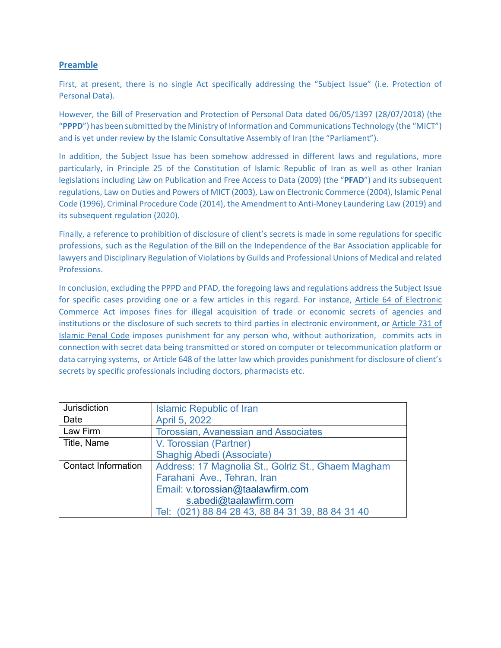# **Preamble**

First, at present, there is no single Act specifically addressing the "Subject Issue" (i.e. Protection of Personal Data).

However, the Bill of Preservation and Protection of Personal Data dated 06/05/1397 (28/07/2018) (the "**PPPD**") has been submitted by the Ministry of Information and Communications Technology (the "MICT") and is yet under review by the Islamic Consultative Assembly of Iran (the "Parliament").

In addition, the Subject Issue has been somehow addressed in different laws and regulations, more particularly, in Principle 25 of the Constitution of Islamic Republic of Iran as well as other Iranian legislations including Law on Publication and Free Access to Data (2009) (the "**PFAD**") and its subsequent regulations, Law on Duties and Powers of MICT (2003), Law on Electronic Commerce (2004), Islamic Penal Code (1996), Criminal Procedure Code (2014), the Amendment to Anti-Money Laundering Law (2019) and its subsequent regulation (2020).

Finally, a reference to prohibition of disclosure of client's secrets is made in some regulations for specific professions, such as the Regulation of the Bill on the Independence of the Bar Association applicable for lawyers and Disciplinary Regulation of Violations by Guilds and Professional Unions of Medical and related Professions.

In conclusion, excluding the PPPD and PFAD, the foregoing laws and regulations address the Subject Issue for specific cases providing one or a few articles in this regard. For instance, Article 64 of Electronic Commerce Act imposes fines for illegal acquisition of trade or economic secrets of agencies and institutions or the disclosure of such secrets to third parties in electronic environment, or Article 731 of Islamic Penal Code imposes punishment for any person who, without authorization, commits acts in connection with secret data being transmitted or stored on computer or telecommunication platform or data carrying systems, or Article 648 of the latter law which provides punishment for disclosure of client's secrets by specific professionals including doctors, pharmacists etc.

| Jurisdiction               | <b>Islamic Republic of Iran</b>                    |  |
|----------------------------|----------------------------------------------------|--|
| Date                       | April 5, 2022                                      |  |
| Law Firm                   | <b>Torossian, Avanessian and Associates</b>        |  |
| Title, Name                | V. Torossian (Partner)                             |  |
|                            | <b>Shaghig Abedi (Associate)</b>                   |  |
| <b>Contact Information</b> | Address: 17 Magnolia St., Golriz St., Ghaem Magham |  |
|                            | Farahani Ave., Tehran, Iran                        |  |
|                            | Email: v.torossian@taalawfirm.com                  |  |
|                            | s.abedi@taalawfirm.com                             |  |
|                            | Tel: (021) 88 84 28 43, 88 84 31 39, 88 84 31 40   |  |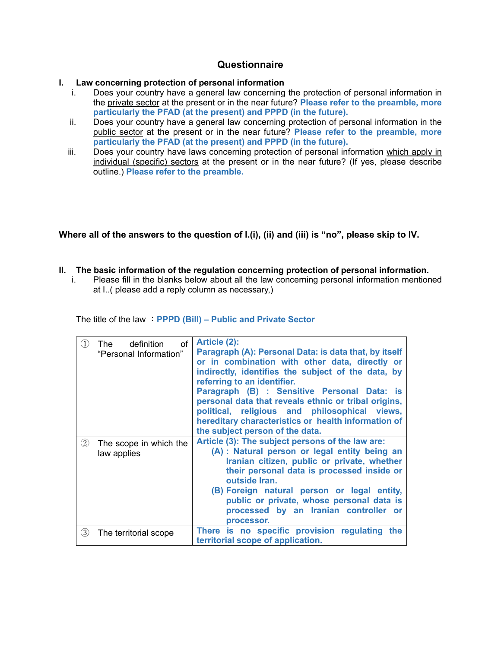# **Questionnaire**

## **I. Law concerning protection of personal information**

- i. Does your country have a general law concerning the protection of personal information in the private sector at the present or in the near future? **Please refer to the preamble, more particularly the PFAD (at the present) and PPPD (in the future).**
- ii. Does your country have a general law concerning protection of personal information in the public sector at the present or in the near future? **Please refer to the preamble, more particularly the PFAD (at the present) and PPPD (in the future).**
- iii. Does your country have laws concerning protection of personal information which apply in individual (specific) sectors at the present or in the near future? (If yes, please describe outline.) **Please refer to the preamble.**

**Where all of the answers to the question of I.(i), (ii) and (iii) is "no", please skip to IV.**

# **II. The basic information of the regulation concerning protection of personal information.**<br>I. Please fill in the blanks below about all the law concerning personal information mention

Please fill in the blanks below about all the law concerning personal information mentioned at I..( please add a reply column as necessary,)

The title of the law :**PPPD (Bill) – Public and Private Sector**

| $\left( 1\right)$ | definition<br>of<br>The<br>"Personal Information" | Article (2):<br>Paragraph (A): Personal Data: is data that, by itself<br>or in combination with other data, directly or<br>indirectly, identifies the subject of the data, by<br>referring to an identifier.<br>Paragraph (B) : Sensitive Personal Data: is<br>personal data that reveals ethnic or tribal origins,<br>political, religious and philosophical views,<br>hereditary characteristics or health information of<br>the subject person of the data. |
|-------------------|---------------------------------------------------|----------------------------------------------------------------------------------------------------------------------------------------------------------------------------------------------------------------------------------------------------------------------------------------------------------------------------------------------------------------------------------------------------------------------------------------------------------------|
| $\circled{2}$     | The scope in which the<br>law applies             | Article (3): The subject persons of the law are:<br>(A) : Natural person or legal entity being an<br>Iranian citizen, public or private, whether<br>their personal data is processed inside or<br>outside Iran.<br>(B) Foreign natural person or legal entity,<br>public or private, whose personal data is<br>processed by an Iranian controller or<br>processor.                                                                                             |
| 3                 | The territorial scope                             | There is no specific provision regulating the<br>territorial scope of application.                                                                                                                                                                                                                                                                                                                                                                             |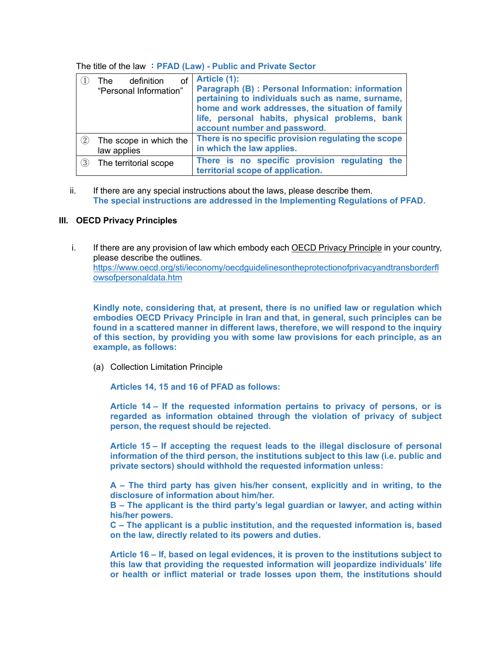|                   | definition<br>of<br>The<br>"Personal Information" | Article (1):<br>Paragraph (B) : Personal Information: information<br>pertaining to individuals such as name, surname,<br>home and work addresses, the situation of family<br>life, personal habits, physical problems, bank<br>account number and password. |
|-------------------|---------------------------------------------------|-------------------------------------------------------------------------------------------------------------------------------------------------------------------------------------------------------------------------------------------------------------|
| $\left( 2\right)$ | The scope in which the<br>law applies             | There is no specific provision regulating the scope<br>in which the law applies.                                                                                                                                                                            |
| 3                 | The territorial scope                             | There is no specific provision regulating the<br>territorial scope of application.                                                                                                                                                                          |

The title of the law :**PFAD (Law) - Public and Private Sector**

ii. If there are any special instructions about the laws, please describe them. **The special instructions are addressed in the Implementing Regulations of PFAD.** 

### **III. OECD Privacy Principles**

i. If there are any provision of law which embody each OECD Privacy Principle in your country, please describe the outlines. [https://www.oecd.org/sti/ieconomy/oecdguidelinesontheprotectionofprivacyandtransborderfl](https://www.oecd.org/sti/ieconomy/oecdguidelinesontheprotectionofprivacyandtransborderflowsofpersonaldata.htm) [owsofpersonaldata.htm](https://www.oecd.org/sti/ieconomy/oecdguidelinesontheprotectionofprivacyandtransborderflowsofpersonaldata.htm)

**Kindly note, considering that, at present, there is no unified law or regulation which embodies OECD Privacy Principle in Iran and that, in general, such principles can be found in a scattered manner in different laws, therefore, we will respond to the inquiry of this section, by providing you with some law provisions for each principle, as an example, as follows:**

(a) Collection Limitation Principle

**Articles 14, 15 and 16 of PFAD as follows:**

**Article 14 – If the requested information pertains to privacy of persons, or is regarded as information obtained through the violation of privacy of subject person, the request should be rejected.**

**Article 15 – If accepting the request leads to the illegal disclosure of personal information of the third person, the institutions subject to this law (i.e. public and private sectors) should withhold the requested information unless:**

**A – The third party has given his/her consent, explicitly and in writing, to the disclosure of information about him/her.**

**B – The applicant is the third party's legal guardian or lawyer, and acting within his/her powers.**

**C – The applicant is a public institution, and the requested information is, based on the law, directly related to its powers and duties.**

**Article 16 – If, based on legal evidences, it is proven to the institutions subject to this law that providing the requested information will jeopardize individuals' life or health or inflict material or trade losses upon them, the institutions should**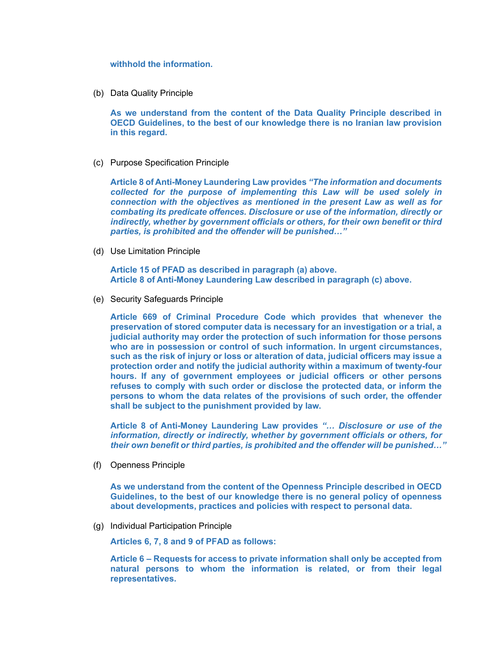#### **withhold the information.**

(b) Data Quality Principle

**As we understand from the content of the Data Quality Principle described in OECD Guidelines, to the best of our knowledge there is no Iranian law provision in this regard.**

(c) Purpose Specification Principle

**Article 8 of Anti-Money Laundering Law provides** *"The information and documents collected for the purpose of implementing this Law will be used solely in connection with the objectives as mentioned in the present Law as well as for combating its predicate offences. Disclosure or use of the information, directly or indirectly, whether by government officials or others, for their own benefit or third parties, is prohibited and the offender will be punished…"*

(d) Use Limitation Principle

**Article 15 of PFAD as described in paragraph (a) above. Article 8 of Anti-Money Laundering Law described in paragraph (c) above.** 

(e) Security Safeguards Principle

**Article 669 of Criminal Procedure Code which provides that whenever the preservation of stored computer data is necessary for an investigation or a trial, a judicial authority may order the protection of such information for those persons who are in possession or control of such information. In urgent circumstances, such as the risk of injury or loss or alteration of data, judicial officers may issue a protection order and notify the judicial authority within a maximum of twenty-four hours. If any of government employees or judicial officers or other persons refuses to comply with such order or disclose the protected data, or inform the persons to whom the data relates of the provisions of such order, the offender shall be subject to the punishment provided by law.**

**Article 8 of Anti-Money Laundering Law provides** *"… Disclosure or use of the information, directly or indirectly, whether by government officials or others, for their own benefit or third parties, is prohibited and the offender will be punished…"*

(f) Openness Principle

**As we understand from the content of the Openness Principle described in OECD Guidelines, to the best of our knowledge there is no general policy of openness about developments, practices and policies with respect to personal data.**

(g) Individual Participation Principle

**Articles 6, 7, 8 and 9 of PFAD as follows:**

**Article 6 – Requests for access to private information shall only be accepted from natural persons to whom the information is related, or from their legal representatives.**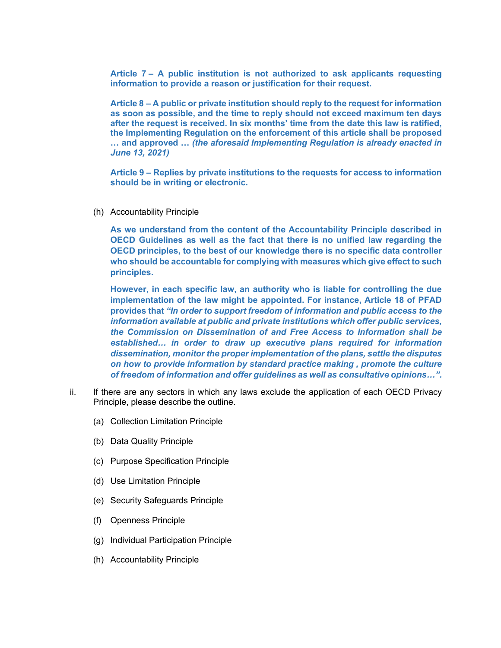**Article 7 – A public institution is not authorized to ask applicants requesting information to provide a reason or justification for their request.**

**Article 8 – A public or private institution should reply to the request for information as soon as possible, and the time to reply should not exceed maximum ten days after the request is received. In six months' time from the date this law is ratified, the Implementing Regulation on the enforcement of this article shall be proposed … and approved …** *(the aforesaid Implementing Regulation is already enacted in June 13, 2021)*

**Article 9 – Replies by private institutions to the requests for access to information should be in writing or electronic.**

(h) Accountability Principle

**As we understand from the content of the Accountability Principle described in OECD Guidelines as well as the fact that there is no unified law regarding the OECD principles, to the best of our knowledge there is no specific data controller who should be accountable for complying with measures which give effect to such principles.**

**However, in each specific law, an authority who is liable for controlling the due implementation of the law might be appointed. For instance, Article 18 of PFAD provides that** *"In order to support freedom of information and public access to the information available at public and private institutions which offer public services, the Commission on Dissemination of and Free Access to Information shall be established… in order to draw up executive plans required for information dissemination, monitor the proper implementation of the plans, settle the disputes on how to provide information by standard practice making , promote the culture of freedom of information and offer guidelines as well as consultative opinions…".*

- ii. If there are any sectors in which any laws exclude the application of each OECD Privacy Principle, please describe the outline.
	- (a) Collection Limitation Principle
	- (b) Data Quality Principle
	- (c) Purpose Specification Principle
	- (d) Use Limitation Principle
	- (e) Security Safeguards Principle
	- (f) Openness Principle
	- (g) Individual Participation Principle
	- (h) Accountability Principle